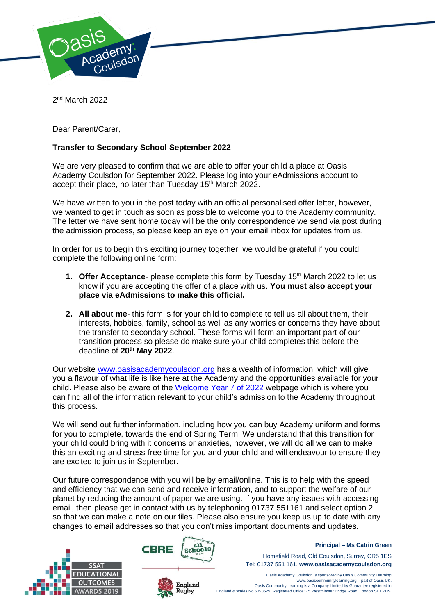

2<sup>nd</sup> March 2022

Dear Parent/Carer,

## **Transfer to Secondary School September 2022**

We are very pleased to confirm that we are able to offer your child a place at Oasis Academy Coulsdon for September 2022. Please log into your eAdmissions account to accept their place, no later than Tuesday 15<sup>th</sup> March 2022.

We have written to you in the post today with an official personalised offer letter, however, we wanted to get in touch as soon as possible to welcome you to the Academy community. The letter we have sent home today will be the only correspondence we send via post during the admission process, so please keep an eye on your email inbox for updates from us.

In order for us to begin this exciting journey together, we would be grateful if you could complete the following online form:

- **1. Offer Acceptance-** please complete this form by Tuesday 15<sup>th</sup> March 2022 to let us know if you are accepting the offer of a place with us. **You must also accept your place via eAdmissions to make this official.**
- **2. All about me** this form is for your child to complete to tell us all about them, their interests, hobbies, family, school as well as any worries or concerns they have about the transfer to secondary school. These forms will form an important part of our transition process so please do make sure your child completes this before the deadline of **20th May 2022**.

Our website [www.oasisacademycoulsdon.org](http://www.oasisacademycoulsdon.org/) has a wealth of information, which will give you a flavour of what life is like here at the Academy and the opportunities available for your child. Please also be aware of the [Welcome Year 7 of 2022](https://www.oasisacademycoulsdon.org/admissions/welcome-to-our-new-year-7s) webpage which is where you can find all of the information relevant to your child's admission to the Academy throughout this process.

We will send out further information, including how you can buy Academy uniform and forms for you to complete, towards the end of Spring Term. We understand that this transition for your child could bring with it concerns or anxieties, however, we will do all we can to make this an exciting and stress-free time for you and your child and will endeavour to ensure they are excited to join us in September.

Our future correspondence with you will be by email/online. This is to help with the speed and efficiency that we can send and receive information, and to support the welfare of our planet by reducing the amount of paper we are using. If you have any issues with accessing email, then please get in contact with us by telephoning 01737 551161 and select option 2 so that we can make a note on our files. Please also ensure you keep us up to date with any changes to email addresses so that you don't miss important documents and updates.





England Rugby



**Principal – Ms Catrin Green**

Homefield Road, Old Coulsdon, Surrey, CR5 1ES Tel: 01737 551 161. **www.oasisacademycoulsdon.org**